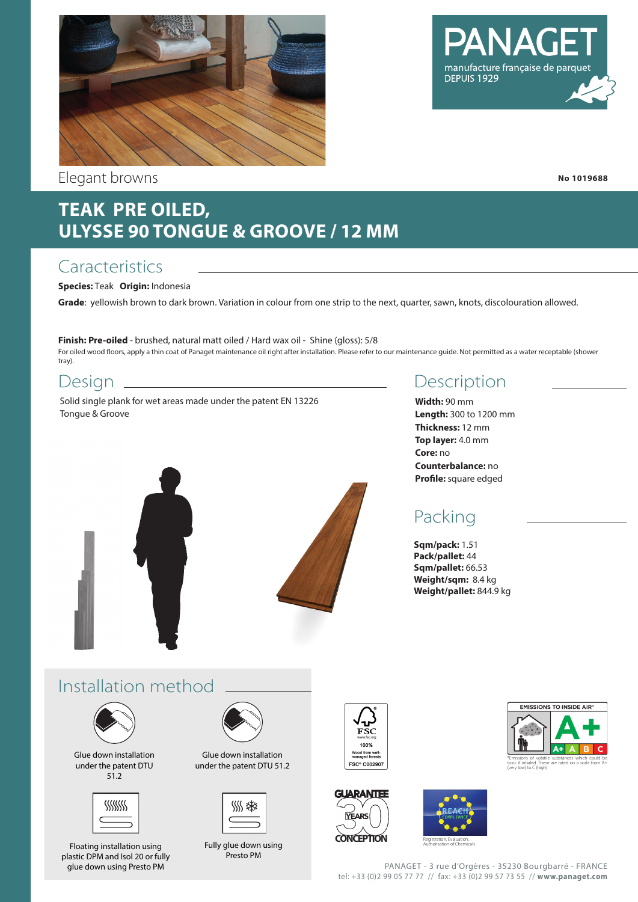

Elegant browns

manufacture française de parque DEPUIS 1929

**No 1019688**

# **TEAK PRE OILED, ULYSSE 90 TONGUE & GROOVE / 12 MM**

### **Caracteristics**

### **Species:** Teak **Origin:** Indonesia

**Grade**: yellowish brown to dark brown. Variation in colour from one strip to the next, quarter, sawn, knots, discolouration allowed.

**Finish: Pre-oiled** - brushed, natural matt oiled / Hard wax oil - Shine (gloss): 5/8 For oiled wood floors, apply a thin coat of Panaget maintenance oil right after installation. Please refer to our maintenance guide. Not permitted as a water receptable (shower tray).

### Design

Solid single plank for wet areas made under the patent EN 13226 Tongue & Groove



### Description

**Width:** 90 mm **Length:** 300 to 1200 mm **Thickness:** 12 mm **Top layer:** 4.0 mm **Core:** no **Counterbalance:** no **Profile:** square edged

# Packing

**Sqm/pack:** 1.51 **Pack/pallet:** 44 **Sqm/pallet:** 66.53 **Weight/sqm:** 8.4 kg **Weight/pallet:** 844.9 kg

# Installation method



Glue down installation under the patent DTU 51.2



Floating installation using plastic DPM and Isol 20 or fully glue down using Presto PM



Glue down installation under the patent DTU 51.2



Fully glue down using Presto PM









PANAGET - 3 rue d'Orgères - 35230 Bourgbarré - FRANCE tel: +33 (0)2 99 05 77 77 // fax: +33 (0)2 99 57 73 55 // **www.panaget.com**